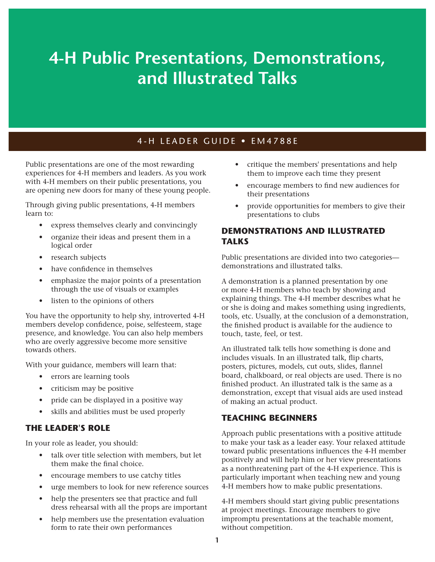# **4-H Public Presentations, Demonstrations, and Illustrated Talks**

# 4-H LEADER GUIDE • EM4788E

Public presentations are one of the most rewarding experiences for 4-H members and leaders. As you work with 4-H members on their public presentations, you are opening new doors for many of these young people.

Through giving public presentations, 4-H members learn to:

- express themselves clearly and convincingly
- organize their ideas and present them in a logical order
- research subjects
- have confidence in themselves
- emphasize the major points of a presentation through the use of visuals or examples
- listen to the opinions of others

You have the opportunity to help shy, introverted 4-H members develop confidence, poise, selfesteem, stage presence, and knowledge. You can also help members who are overly aggressive become more sensitive towards others.

With your guidance, members will learn that:

- errors are learning tools
- criticism may be positive
- pride can be displayed in a positive way
- skills and abilities must be used properly

# **THE LEADER'S ROLE**

In your role as leader, you should:

- talk over title selection with members, but let them make the final choice.
- encourage members to use catchy titles
- urge members to look for new reference sources
- help the presenters see that practice and full dress rehearsal with all the props are important
- help members use the presentation evaluation form to rate their own performances
- critique the members' presentations and help them to improve each time they present
- encourage members to find new audiences for their presentations
- provide opportunities for members to give their presentations to clubs

# **DEMONSTRATIONS AND ILLUSTRATED TALKS**

Public presentations are divided into two categories demonstrations and illustrated talks.

A demonstration is a planned presentation by one or more 4-H members who teach by showing and explaining things. The 4-H member describes what he or she is doing and makes something using ingredients, tools, etc. Usually, at the conclusion of a demonstration, the finished product is available for the audience to touch, taste, feel, or test.

An illustrated talk tells how something is done and includes visuals. In an illustrated talk, flip charts, posters, pictures, models, cut outs, slides, flannel board, chalkboard, or real objects are used. There is no finished product. An illustrated talk is the same as a demonstration, except that visual aids are used instead of making an actual product.

# **TEACHING BEGINNERS**

Approach public presentations with a positive attitude to make your task as a leader easy. Your relaxed attitude toward public presentations influences the 4-H member positively and will help him or her view presentations as a nonthreatening part of the 4-H experience. This is particularly important when teaching new and young 4-H members how to make public presentations.

4-H members should start giving public presentations at project meetings. Encourage members to give impromptu presentations at the teachable moment, without competition.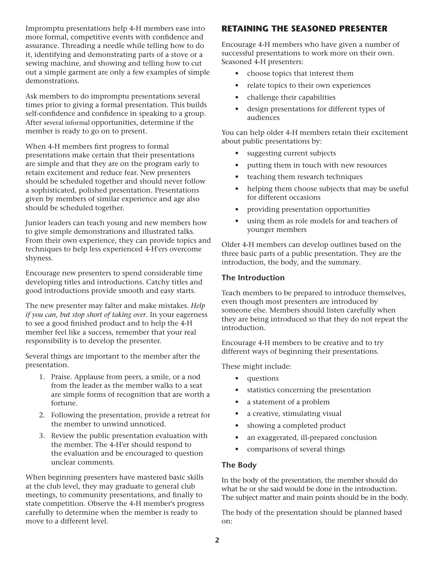Impromptu presentations help 4-H members ease into more formal, competitive events with confidence and assurance. Threading a needle while telling how to do it, identifying and demonstrating parts of a stove or a sewing machine, and showing and telling how to cut out a simple garment are only a few examples of simple demonstrations.

Ask members to do impromptu presentations several times prior to giving a formal presentation. This builds self-confidence and confidence in speaking to a group. After several informal opportunities, determine if the member is ready to go on to present.

When 4-H members first progress to formal presentations make certain that their presentations are simple and that they are on the program early to retain excitement and reduce fear. New presenters should be scheduled together and should never follow a sophisticated, polished presentation. Presentations given by members of similar experience and age also should be scheduled together.

Junior leaders can teach young and new members how to give simple demonstrations and illustrated talks. From their own experience, they can provide topics and techniques to help less experienced 4-H'ers overcome shyness.

Encourage new presenters to spend considerable time developing titles and introductions. Catchy titles and good introductions provide smooth and easy starts.

The new presenter may falter and make mistakes. *Help if you can, but stop short of taking over*. In your eagerness to see a good finished product and to help the 4-H member feel like a success, remember that your real responsibility is to develop the presenter.

Several things are important to the member after the presentation.

- 1. Praise. Applause from peers, a smile, or a nod from the leader as the member walks to a seat are simple forms of recognition that are worth a fortune.
- 2. Following the presentation, provide a retreat for the member to unwind unnoticed.
- 3. Review the public presentation evaluation with the member. The 4-H'er should respond to the evaluation and be encouraged to question unclear comments.

When beginning presenters have mastered basic skills at the club level, they may graduate to general club meetings, to community presentations, and finally to state competition. Observe the 4-H member's progress carefully to determine when the member is ready to move to a different level.

# **RETAINING THE SEASONED PRESENTER**

Encourage 4-H members who have given a number of successful presentations to work more on their own. Seasoned 4-H presenters:

- choose topics that interest them
- relate topics to their own experiences
- challenge their capabilities
- design presentations for different types of audiences

You can help older 4-H members retain their excitement about public presentations by:

- suggesting current subjects
- putting them in touch with new resources
- teaching them research techniques
- helping them choose subjects that may be useful for different occasions
- providing presentation opportunities
- using them as role models for and teachers of younger members

Older 4-H members can develop outlines based on the three basic parts of a public presentation. They are the introduction, the body, and the summary.

## **The Introduction**

Teach members to be prepared to introduce themselves, even though most presenters are introduced by someone else. Members should listen carefully when they are being introduced so that they do not repeat the introduction.

Encourage 4-H members to be creative and to try different ways of beginning their presentations.

These might include:

- questions
- statistics concerning the presentation
- a statement of a problem
- a creative, stimulating visual
- showing a completed product
- an exaggerated, ill-prepared conclusion
- comparisons of several things

# **The Body**

In the body of the presentation, the member should do what he or she said would be done in the introduction. The subject matter and main points should be in the body.

The body of the presentation should be planned based on: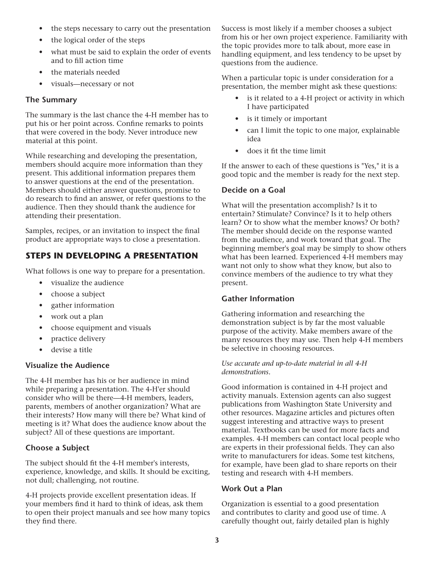- the steps necessary to carry out the presentation
- the logical order of the steps
- what must be said to explain the order of events and to fill action time
- the materials needed
- visuals—necessary or not

## **The Summary**

The summary is the last chance the 4-H member has to put his or her point across. Confine remarks to points that were covered in the body. Never introduce new material at this point.

While researching and developing the presentation, members should acquire more information than they present. This additional information prepares them to answer questions at the end of the presentation. Members should either answer questions, promise to do research to find an answer, or refer questions to the audience. Then they should thank the audience for attending their presentation.

Samples, recipes, or an invitation to inspect the final product are appropriate ways to close a presentation.

# **STEPS IN DEVELOPING A PRESENTATION**

What follows is one way to prepare for a presentation.

- visualize the audience
- choose a subject
- gather information
- work out a plan
- choose equipment and visuals
- practice delivery
- devise a title

## **Visualize the Audience**

The 4-H member has his or her audience in mind while preparing a presentation. The 4-H'er should consider who will be there—4-H members, leaders, parents, members of another organization? What are their interests? How many will there be? What kind of meeting is it? What does the audience know about the subject? All of these questions are important.

# **Choose a Subject**

The subject should fit the 4-H member's interests, experience, knowledge, and skills. It should be exciting, not dull; challenging, not routine.

4-H projects provide excellent presentation ideas. If your members find it hard to think of ideas, ask them to open their project manuals and see how many topics they find there.

Success is most likely if a member chooses a subject from his or her own project experience. Familiarity with the topic provides more to talk about, more ease in handling equipment, and less tendency to be upset by questions from the audience.

When a particular topic is under consideration for a presentation, the member might ask these questions:

- is it related to a 4-H project or activity in which I have participated
- is it timely or important
- can I limit the topic to one major, explainable idea
- does it fit the time limit

If the answer to each of these questions is "Yes," it is a good topic and the member is ready for the next step.

## **Decide on a Goal**

What will the presentation accomplish? Is it to entertain? Stimulate? Convince? Is it to help others learn? Or to show what the member knows? Or both? The member should decide on the response wanted from the audience, and work toward that goal. The beginning member's goal may be simply to show others what has been learned. Experienced 4-H members may want not only to show what they know, but also to convince members of the audience to try what they present.

## **Gather Information**

Gathering information and researching the demonstration subject is by far the most valuable purpose of the activity. Make members aware of the many resources they may use. Then help 4-H members be selective in choosing resources.

#### *Use accurate and up-to-date material in all 4-H demonstrations.*

Good information is contained in 4-H project and activity manuals. Extension agents can also suggest publications from Washington State University and other resources. Magazine articles and pictures often suggest interesting and attractive ways to present material. Textbooks can be used for more facts and examples. 4-H members can contact local people who are experts in their professional fields. They can also write to manufacturers for ideas. Some test kitchens, for example, have been glad to share reports on their testing and research with 4-H members.

## **Work Out a Plan**

Organization is essential to a good presentation and contributes to clarity and good use of time. A carefully thought out, fairly detailed plan is highly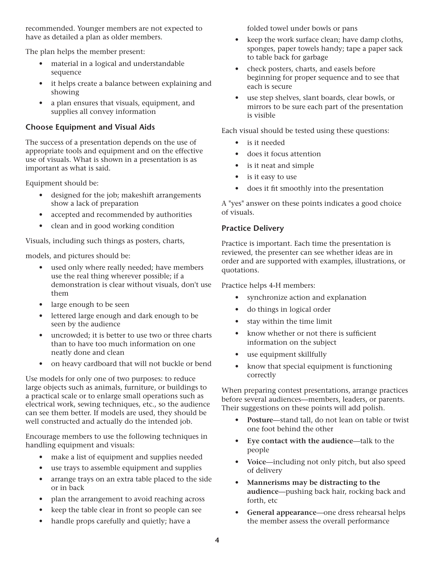recommended. Younger members are not expected to have as detailed a plan as older members.

The plan helps the member present:

- material in a logical and understandable sequence
- it helps create a balance between explaining and showing
- a plan ensures that visuals, equipment, and supplies all convey information

# **Choose Equipment and Visual Aids**

The success of a presentation depends on the use of appropriate tools and equipment and on the effective use of visuals. What is shown in a presentation is as important as what is said.

Equipment should be:

- designed for the job; makeshift arrangements show a lack of preparation
- accepted and recommended by authorities
- clean and in good working condition

Visuals, including such things as posters, charts,

models, and pictures should be:

- used only where really needed; have members use the real thing wherever possible; if a demonstration is clear without visuals, don't use them
- large enough to be seen
- lettered large enough and dark enough to be seen by the audience
- uncrowded; it is better to use two or three charts than to have too much information on one neatly done and clean
- on heavy cardboard that will not buckle or bend

Use models for only one of two purposes: to reduce large objects such as animals, furniture, or buildings to a practical scale or to enlarge small operations such as electrical work, sewing techniques, etc., so the audience can see them better. If models are used, they should be well constructed and actually do the intended job.

Encourage members to use the following techniques in handling equipment and visuals:

- make a list of equipment and supplies needed
- use trays to assemble equipment and supplies
- arrange trays on an extra table placed to the side or in back
- plan the arrangement to avoid reaching across
- keep the table clear in front so people can see
- handle props carefully and quietly; have a

folded towel under bowls or pans

- keep the work surface clean; have damp cloths, sponges, paper towels handy; tape a paper sack to table back for garbage
- check posters, charts, and easels before beginning for proper sequence and to see that each is secure
- use step shelves, slant boards, clear bowls, or mirrors to be sure each part of the presentation is visible

Each visual should be tested using these questions:

- is it needed
- does it focus attention
- is it neat and simple
- is it easy to use
- does it fit smoothly into the presentation

A "yes" answer on these points indicates a good choice of visuals.

# **Practice Delivery**

Practice is important. Each time the presentation is reviewed, the presenter can see whether ideas are in order and are supported with examples, illustrations, or quotations.

Practice helps 4-H members:

- synchronize action and explanation
- do things in logical order
- stay within the time limit
- know whether or not there is sufficient information on the subject
- use equipment skillfully
- know that special equipment is functioning correctly

When preparing contest presentations, arrange practices before several audiences—members, leaders, or parents. Their suggestions on these points will add polish.

- Posture-stand tall, do not lean on table or twist one foot behind the other
- **Eye contact with the audience**—talk to the people
- **Voice**—including not only pitch, but also speed of delivery
- **Mannerisms may be distracting to the audience**—pushing back hair, rocking back and forth, etc
- General appearance—one dress rehearsal helps the member assess the overall performance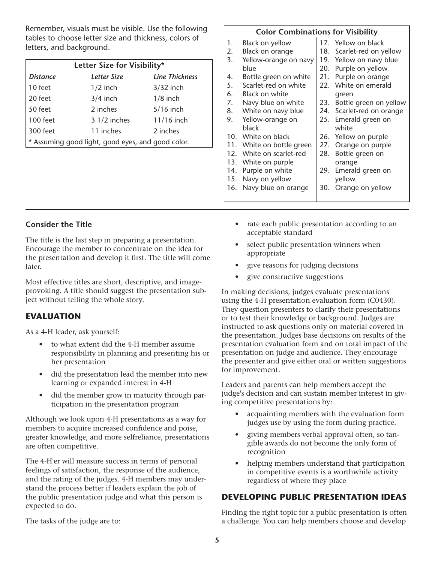Remember, visuals must be visible. Use the following tables to choose letter size and thickness, colors of letters, and background.

| Letter Size for Visibility*                       |              |                       |  |  |
|---------------------------------------------------|--------------|-----------------------|--|--|
| <b>Distance</b>                                   | Letter Size  | <b>Line Thickness</b> |  |  |
| 10 feet                                           | $1/2$ inch   | $3/32$ inch           |  |  |
| 20 feet                                           | $3/4$ inch   | $1/8$ inch            |  |  |
| 50 feet                                           | 2 inches     | $5/16$ inch           |  |  |
| 100 feet                                          | 3 1/2 inches | 11/16 inch            |  |  |
| 300 feet                                          | 11 inches    | 2 inches              |  |  |
| * Assuming good light, good eyes, and good color. |              |                       |  |  |

#### **Color Combinations for Visibility**

| 1.  | Black on yellow       |     | 17. Yellow on black       |
|-----|-----------------------|-----|---------------------------|
| 2.  | Black on orange       |     | 18. Scarlet-red on yellow |
| 3.  | Yellow-orange on navy |     | 19. Yellow on navy blue   |
|     | blue                  | 20. | Purple on yellow          |
| 4.  | Bottle green on white | 21. | Purple on orange          |
| 5.  | Scarlet-red on white  |     | 22. White on emerald      |
| 6.  | Black on white        |     | green                     |
| 7.  | Navy blue on white    | 23. | Bottle green on yellow    |
| 8.  | White on navy blue    |     | 24. Scarlet-red on orange |
| 9.  | Yellow-orange on      |     | 25. Emerald green on      |
|     | black                 |     | white                     |
|     | 10. White on black    |     | 26. Yellow on purple      |
| 11. | White on bottle green | 27. | Orange on purple          |
| 12. | White on scarlet-red  | 28. | Bottle green on           |
| 13. | White on purple       |     | orange                    |
| 14. | Purple on white       | 29. | Emerald green on          |
|     | 15. Navy on yellow    |     | yellow                    |
| 16. | Navy blue on orange   | 30. | Orange on yellow          |
|     |                       |     |                           |

# **Consider the Title**

The title is the last step in preparing a presentation. Encourage the member to concentrate on the idea for the presentation and develop it first. The title will come later.

Most effective titles are short, descriptive, and imageprovoking. A title should suggest the presentation subject without telling the whole story.

# **EVALUATION**

As a 4-H leader, ask yourself:

- to what extent did the 4-H member assume responsibility in planning and presenting his or her presentation
- did the presentation lead the member into new learning or expanded interest in 4-H
- did the member grow in maturity through participation in the presentation program

Although we look upon 4-H presentations as a way for members to acquire increased confidence and poise, greater knowledge, and more selfreliance, presentations are often competitive.

The 4-H'er will measure success in terms of personal feelings of satisfaction, the response of the audience, and the rating of the judges. 4-H members may understand the process better if leaders explain the job of the public presentation judge and what this person is expected to do.

- rate each public presentation according to an acceptable standard
- select public presentation winners when appropriate
- give reasons for judging decisions
- give constructive suggestions

In making decisions, judges evaluate presentations using the 4-H presentation evaluation form (C0430). They question presenters to clarify their presentations or to test their knowledge or background. Judges are instructed to ask questions only on material covered in the presentation. Judges base decisions on results of the presentation evaluation form and on total impact of the presentation on judge and audience. They encourage the presenter and give either oral or written suggestions for improvement.

Leaders and parents can help members accept the judge's decision and can sustain member interest in giving competitive presentations by:

- acquainting members with the evaluation form judges use by using the form during practice.
- giving members verbal approval often, so tangible awards do not become the only form of recognition
- helping members understand that participation in competitive events is a worthwhile activity regardless of where they place

# **DEVELOPING PUBLIC PRESENTATION IDEAS**

Finding the right topic for a public presentation is often a challenge. You can help members choose and develop

The tasks of the judge are to: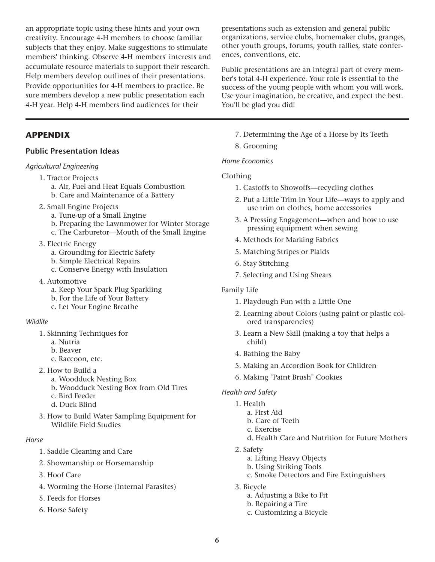an appropriate topic using these hints and your own creativity. Encourage 4-H members to choose familiar subjects that they enjoy. Make suggestions to stimulate members' thinking. Observe 4-H members' interests and accumulate resource materials to support their research. Help members develop outlines of their presentations. Provide opportunities for 4-H members to practice. Be sure members develop a new public presentation each 4-H year. Help 4-H members find audiences for their

# **APPENDIX**

## **Public Presentation Ideas**

#### *Agricultural Engineering*

- 1. Tractor Projects
	- a. Air, Fuel and Heat Equals Combustion
	- b. Care and Maintenance of a Battery
- 2. Small Engine Projects
	- a. Tune-up of a Small Engine
	- b. Preparing the Lawnmower for Winter Storage
	- c. The Carburetor—Mouth of the Small Engine
- 3. Electric Energy
	- a. Grounding for Electric Safety
	- b. Simple Electrical Repairs
	- c. Conserve Energy with Insulation
- 4. Automotive
	- a. Keep Your Spark Plug Sparkling
	- b. For the Life of Your Battery
	- c. Let Your Engine Breathe

#### *Wildlife*

- 1. Skinning Techniques for
	- a. Nutria
	- b. Beaver
	- c. Raccoon, etc.
- 2. How to Build a
	- a. Woodduck Nesting Box
	- b. Woodduck Nesting Box from Old Tires
	- c. Bird Feeder
	- d. Duck Blind
- 3. How to Build Water Sampling Equipment for Wildlife Field Studies

## *Horse*

- 1. Saddle Cleaning and Care
- 2. Showmanship or Horsemanship
- 3. Hoof Care
- 4. Worming the Horse (Internal Parasites)
- 5. Feeds for Horses
- 6. Horse Safety

presentations such as extension and general public organizations, service clubs, homemaker clubs, granges, other youth groups, forums, youth rallies, state conferences, conventions, etc.

Public presentations are an integral part of every member's total 4-H experience. Your role is essential to the success of the young people with whom you will work. Use your imagination, be creative, and expect the best. You'll be glad you did!

- 7. Determining the Age of a Horse by Its Teeth
- 8. Grooming

*Home Economics*

Clothing

- 1. Castoffs to Showoffs—recycling clothes
- 2. Put a Little Trim in Your Life—ways to apply and use trim on clothes, home accessories
- 3. A Pressing Engagement—when and how to use pressing equipment when sewing
- 4. Methods for Marking Fabrics
- 5. Matching Stripes or Plaids
- 6. Stay Stitching
- 7. Selecting and Using Shears

## Family Life

- 1. Playdough Fun with a Little One
- 2. Learning about Colors (using paint or plastic colored transparencies)
- 3. Learn a New Skill (making a toy that helps a child)
- 4. Bathing the Baby
- 5. Making an Accordion Book for Children
- 6. Making "Paint Brush" Cookies

## *Health and Safety*

- 1. Health
	- a. First Aid
	- b. Care of Teeth
	- c. Exercise
	- d. Health Care and Nutrition for Future Mothers
- 2. Safety
	- a. Lifting Heavy Objects
	- b. Using Striking Tools
	- c. Smoke Detectors and Fire Extinguishers
- 3. Bicycle
	- a. Adjusting a Bike to Fit
	- b. Repairing a Tire
	- c. Customizing a Bicycle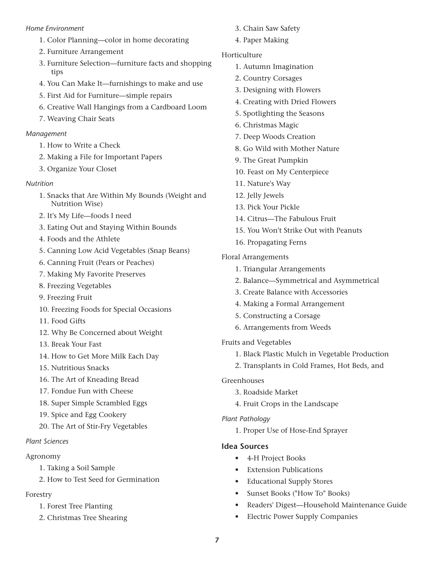## *Home Environment*

- 1. Color Planning—color in home decorating
- 2. Furniture Arrangement
- 3. Furniture Selection—furniture facts and shopping tips
- 4. You Can Make It—furnishings to make and use
- 5. First Aid for Furniture—simple repairs
- 6. Creative Wall Hangings from a Cardboard Loom
- 7. Weaving Chair Seats

## *Management*

- 1. How to Write a Check
- 2. Making a File for Important Papers
- 3. Organize Your Closet

## *Nutrition*

- 1. Snacks that Are Within My Bounds (Weight and Nutrition Wise)
- 2. It's My Life—foods I need
- 3. Eating Out and Staying Within Bounds
- 4. Foods and the Athlete
- 5. Canning Low Acid Vegetables (Snap Beans)
- 6. Canning Fruit (Pears or Peaches)
- 7. Making My Favorite Preserves
- 8. Freezing Vegetables
- 9. Freezing Fruit
- 10. Freezing Foods for Special Occasions
- 11. Food Gifts
- 12. Why Be Concerned about Weight
- 13. Break Your Fast
- 14. How to Get More Milk Each Day
- 15. Nutritious Snacks
- 16. The Art of Kneading Bread
- 17. Fondue Fun with Cheese
- 18. Super Simple Scrambled Eggs
- 19. Spice and Egg Cookery
- 20. The Art of Stir-Fry Vegetables

# *Plant Sciences*

# Agronomy

- 1. Taking a Soil Sample
- 2. How to Test Seed for Germination

# Forestry

- 1. Forest Tree Planting
- 2. Christmas Tree Shearing
- 3. Chain Saw Safety
- 4. Paper Making

# Horticulture

- 1. Autumn Imagination
- 2. Country Corsages
- 3. Designing with Flowers
- 4. Creating with Dried Flowers
- 5. Spotlighting the Seasons
- 6. Christmas Magic
- 7. Deep Woods Creation
- 8. Go Wild with Mother Nature
- 9. The Great Pumpkin
- 10. Feast on My Centerpiece
- 11. Nature's Way
- 12. Jelly Jewels
- 13. Pick Your Pickle
- 14. Citrus—The Fabulous Fruit
- 15. You Won't Strike Out with Peanuts
- 16. Propagating Ferns
- Floral Arrangements
	- 1. Triangular Arrangements
	- 2. Balance—Symmetrical and Asymmetrical
	- 3. Create Balance with Accessories
	- 4. Making a Formal Arrangement
	- 5. Constructing a Corsage
	- 6. Arrangements from Weeds
- Fruits and Vegetables
	- 1. Black Plastic Mulch in Vegetable Production
	- 2. Transplants in Cold Frames, Hot Beds, and

## Greenhouses

- 3. Roadside Market
- 4. Fruit Crops in the Landscape

# *Plant Pathology*

1. Proper Use of Hose-End Sprayer

# **Idea Sources**

- 4-H Project Books
- **Extension Publications**
- Educational Supply Stores
- Sunset Books ("How To" Books)
- Readers' Digest—Household Maintenance Guide
- Electric Power Supply Companies